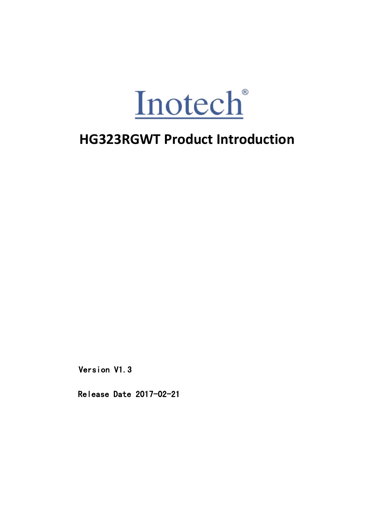

Version V1.3<br>Release Date 2017-02-21 Release Date 2017-02-21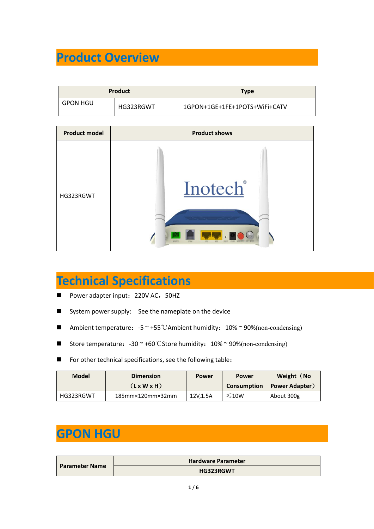| <b>Product Overview</b> |                |                               |
|-------------------------|----------------|-------------------------------|
|                         |                |                               |
|                         | <b>Product</b> | <b>Type</b>                   |
| <b>GPON HGU</b>         | HG323RGWT      | 1GPON+1GE+1FE+1POTS+WiFi+CATV |

|                       | <b>Product Overview</b>                                                                  |                           |                               |                                     |
|-----------------------|------------------------------------------------------------------------------------------|---------------------------|-------------------------------|-------------------------------------|
|                       |                                                                                          |                           |                               |                                     |
|                       | <b>Product</b>                                                                           |                           | <b>Type</b>                   |                                     |
| <b>GPON HGU</b>       | HG323RGWT                                                                                |                           | 1GPON+1GE+1FE+1POTS+WiFi+CATV |                                     |
|                       |                                                                                          |                           |                               |                                     |
| <b>Product model</b>  |                                                                                          | <b>Product shows</b>      |                               |                                     |
| HG323RGWT             |                                                                                          | Inotech®                  |                               |                                     |
|                       | <b>Technical Specifications</b><br>Power adapter input: 220V AC, 50HZ                    |                           |                               |                                     |
| ш                     | System power supply: See the nameplate on the device                                     |                           |                               |                                     |
| в                     | Ambient temperature: $-5$ $\sim$ +55 °C Ambient humidity: 10% $\sim$ 90%(non-condensing) |                           |                               |                                     |
| ■                     | Store temperature: $-30$ $\sim$ +60 °C Store humidity: $10\%$ $\sim$ 90%(non-condensing) |                           |                               |                                     |
| ■                     | For other technical specifications, see the following table:                             |                           |                               |                                     |
| <b>Model</b>          | <b>Dimension</b><br>(LxWXH)                                                              | <b>Power</b>              | <b>Power</b><br>Consumption   | Weight (No<br><b>Power Adapter)</b> |
| HG323RGWT             | 185mm×120mm×32mm                                                                         | 12V, 1.5A                 | $≤10W$                        | About 300g                          |
|                       |                                                                                          |                           |                               |                                     |
| <b>GPON HGU</b>       |                                                                                          |                           |                               |                                     |
|                       |                                                                                          |                           |                               |                                     |
| <b>Parameter Name</b> |                                                                                          | <b>Hardware Parameter</b> |                               |                                     |

- 
- 
- 
- 
- 

|                       | <b>Technical Specifications</b>                                                                     |                           |                    |                       |
|-----------------------|-----------------------------------------------------------------------------------------------------|---------------------------|--------------------|-----------------------|
| $\blacksquare$        | Power adapter input: 220V AC, 50HZ                                                                  |                           |                    |                       |
| п                     | System power supply: See the nameplate on the device                                                |                           |                    |                       |
| п                     | Ambient temperature: $-5$ $\sim$ +55 °C Ambient humidity: 10% $\sim$ 90%(non-condensing)            |                           |                    |                       |
|                       | Store temperature: $-30 \approx +60^{\circ}$ C Store humidity: $10\% \approx 90\%$ (non-condensing) |                           |                    |                       |
| ■                     | For other technical specifications, see the following table:                                        |                           |                    |                       |
| <b>Model</b>          | <b>Dimension</b>                                                                                    | <b>Power</b>              | <b>Power</b>       | Weight (No            |
|                       | (LxWXH)                                                                                             |                           | <b>Consumption</b> | <b>Power Adapter)</b> |
| HG323RGWT             | 185mm×120mm×32mm                                                                                    | 12V, 1.5A                 | $≤10W$             | About 300g            |
|                       |                                                                                                     |                           |                    |                       |
| <b>GPON HGU</b>       |                                                                                                     |                           |                    |                       |
|                       |                                                                                                     |                           |                    |                       |
|                       |                                                                                                     |                           |                    |                       |
|                       |                                                                                                     |                           |                    |                       |
|                       |                                                                                                     | <b>Hardware Parameter</b> |                    |                       |
| <b>Parameter Name</b> |                                                                                                     | HG323RGWT                 |                    |                       |

|                       | <b>Hardware Parameter</b> |
|-----------------------|---------------------------|
| <b>Parameter Name</b> | <b>HG323RGWT</b>          |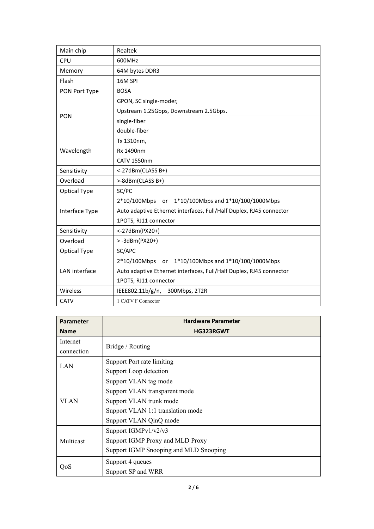| Main chip        | Realtek                                                             |
|------------------|---------------------------------------------------------------------|
| <b>CPU</b>       | 600MHz                                                              |
| Memory           | 64M bytes DDR3                                                      |
| Flash            | 16M SPI                                                             |
| PON Port Type    | <b>BOSA</b>                                                         |
|                  | GPON, SC single-moder,                                              |
| <b>PON</b>       | Upstream 1.25Gbps, Downstream 2.5Gbps.                              |
|                  | single-fiber                                                        |
|                  | double-fiber                                                        |
|                  | Tx 1310nm,                                                          |
| Wavelength       | Rx 1490nm                                                           |
|                  | <b>CATV 1550nm</b>                                                  |
| Sensitivity      | <-27dBm(CLASS B+)                                                   |
| Overload         | >-8dBm(CLASS B+)                                                    |
| Optical Type     | SC/PC                                                               |
|                  | 2*10/100Mbps<br>1*10/100Mbps and 1*10/100/1000Mbps<br>or            |
| Interface Type   | Auto adaptive Ethernet interfaces, Full/Half Duplex, RJ45 connector |
|                  | 1POTS, RJ11 connector                                               |
| Sensitivity      | <-27dBm(PX20+)                                                      |
| Overload         | $> -3d$ Bm(PX20+)                                                   |
| Optical Type     | SC/APC                                                              |
|                  | 2*10/100Mbps<br>1*10/100Mbps and 1*10/100/1000Mbps<br>or            |
| LAN interface    | Auto adaptive Ethernet interfaces, Full/Half Duplex, RJ45 connector |
|                  | 1POTS, RJ11 connector                                               |
| Wireless         | 300Mbps, 2T2R<br>IEEE802.11b/g/n,                                   |
| <b>CATV</b>      | 1 CATV F Connector                                                  |
| <b>Parameter</b> | <b>Hardware Parameter</b>                                           |
| <b>Name</b>      | HG323RGWT                                                           |
|                  |                                                                     |

| Optical Type     | SC/APC                                                              |  |  |
|------------------|---------------------------------------------------------------------|--|--|
|                  | 1*10/100Mbps and 1*10/100/1000Mbps<br>2*10/100Mbps or               |  |  |
| LAN interface    | Auto adaptive Ethernet interfaces, Full/Half Duplex, RJ45 connector |  |  |
|                  | 1POTS, RJ11 connector                                               |  |  |
| Wireless         | IEEE802.11b/g/n,<br>300Mbps, 2T2R                                   |  |  |
| <b>CATV</b>      | 1 CATV F Connector                                                  |  |  |
|                  |                                                                     |  |  |
| <b>Parameter</b> | <b>Hardware Parameter</b>                                           |  |  |
| <b>Name</b>      | HG323RGWT                                                           |  |  |
| Internet         | Bridge / Routing                                                    |  |  |
| connection       |                                                                     |  |  |
| <b>LAN</b>       | Support Port rate limiting                                          |  |  |
|                  | Support Loop detection                                              |  |  |
|                  | Support VLAN tag mode                                               |  |  |
|                  | Support VLAN transparent mode                                       |  |  |
| <b>VLAN</b>      | Support VLAN trunk mode                                             |  |  |
|                  | Support VLAN 1:1 translation mode                                   |  |  |
|                  | Support VLAN QinQ mode                                              |  |  |
| Multicast        | Support IGMPv1/v2/v3                                                |  |  |
|                  | Support IGMP Proxy and MLD Proxy                                    |  |  |
|                  | Support IGMP Snooping and MLD Snooping                              |  |  |
|                  | Support 4 queues                                                    |  |  |
| QoS              | Support SP and WRR                                                  |  |  |
|                  | 2/6                                                                 |  |  |
|                  |                                                                     |  |  |